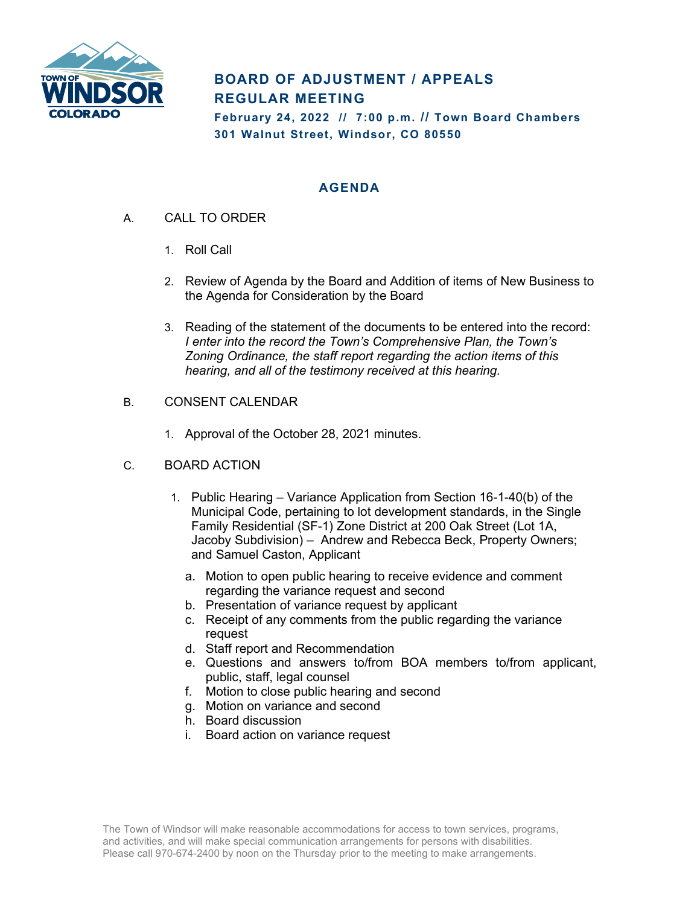

## **BOARD OF ADJUSTMENT / APPEALS REGULAR MEETING**

**February 24, 2022 // 7:00 p.m. // Town Board Chambers 301 Walnut Street, Windsor, CO 80550**

## **AGENDA**

- A. CALL TO ORDER
	- 1. Roll Call
	- 2. Review of Agenda by the Board and Addition of items of New Business to the Agenda for Consideration by the Board
	- 3. Reading of the statement of the documents to be entered into the record: *I enter into the record the Town's Comprehensive Plan, the Town's Zoning Ordinance, the staff report regarding the action items of this hearing, and all of the testimony received at this hearing.*
- B. CONSENT CALENDAR
	- 1. Approval of the October 28, 2021 minutes.
- C. BOARD ACTION
	- 1. Public Hearing Variance Application from Section 16-1-40(b) of the Municipal Code, pertaining to lot development standards, in the Single Family Residential (SF-1) Zone District at 200 Oak Street (Lot 1A, Jacoby Subdivision) – Andrew and Rebecca Beck, Property Owners; and Samuel Caston, Applicant
		- a. Motion to open public hearing to receive evidence and comment regarding the variance request and second
		- b. Presentation of variance request by applicant
		- c. Receipt of any comments from the public regarding the variance request
		- d. Staff report and Recommendation
		- e. Questions and answers to/from BOA members to/from applicant, public, staff, legal counsel
		- f. Motion to close public hearing and second
		- g. Motion on variance and second
		- h. Board discussion
		- i. Board action on variance request